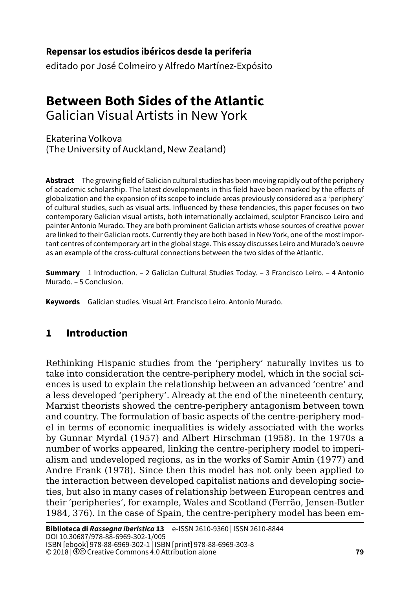#### **79Repensar los estudios ibéricos desde la periferia**

editado por José Colmeiro y Alfredo Martínez-Expósito

# **Between Both Sides of the Atlantic** Galician Visual Artists in New York

Ekaterina Volkova (The University of Auckland, New Zealand)

**Abstract** The growing field of Galician cultural studies has been moving rapidly out of the periphery of academic scholarship. The latest developments in this field have been marked by the effects of globalization and the expansion of its scope to include areas previously considered as a 'periphery' of cultural studies, such as visual arts. Influenced by these tendencies, this paper focuses on two contemporary Galician visual artists, both internationally acclaimed, sculptor Francisco Leiro and painter Antonio Murado. They are both prominent Galician artists whose sources of creative power are linked to their Galician roots. Currently they are both based in New York, one of the most important centres of contemporary art in the global stage. This essay discusses Leiro and Murado's oeuvre as an example of the cross-cultural connections between the two sides of the Atlantic.

**Summary** 1 Introduction. – [2 Galician Cultural Studies Today](#page-1-0). – [3 Francisco Leiro](#page-3-0). – [4 Antonio](#page-10-0)  [Murado](#page-10-0). – [5 Conclusion](#page-15-0).

**Keywords** Galician studies. Visual Art. Francisco Leiro. Antonio Murado.

## **1 Introduction**

Rethinking Hispanic studies from the 'periphery' naturally invites us to take into consideration the centre-periphery model, which in the social sciences is used to explain the relationship between an advanced 'centre' and a less developed 'periphery'. Already at the end of the nineteenth century, Marxist theorists showed the centre-periphery antagonism between town and country. The formulation of basic aspects of the centre-periphery model in terms of economic inequalities is widely associated with the works by Gunnar Myrdal (1957) and Albert Hirschman (1958). In the 1970s a number of works appeared, linking the centre-periphery model to imperialism and undeveloped regions, as in the works of Samir Amin (1977) and Andre Frank (1978). Since then this model has not only been applied to the interaction between developed capitalist nations and developing societies, but also in many cases of relationship between European centres and their 'peripheries', for example, Wales and Scotland (Ferrão, Jensen-Butler 1984, 376). In the case of Spain, the centre-periphery model has been em-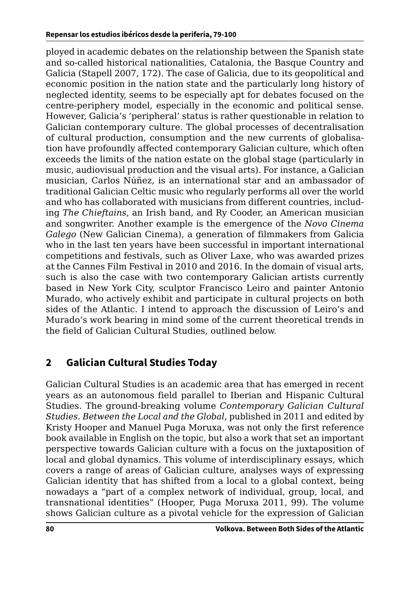<span id="page-1-0"></span>ployed in academic debates on the relationship between the Spanish state and so-called historical nationalities, Catalonia, the Basque Country and Galicia (Stapell 2007, 172). The case of Galicia, due to its geopolitical and economic position in the nation state and the particularly long history of neglected identity, seems to be especially apt for debates focused on the centre-periphery model, especially in the economic and political sense. However, Galicia's 'peripheral' status is rather questionable in relation to Galician contemporary culture. The global processes of decentralisation of cultural production, consumption and the new currents of globalisation have profoundly affected contemporary Galician culture, which often exceeds the limits of the nation estate on the global stage (particularly in music, audiovisual production and the visual arts). For instance, a Galician musician, Carlos Núñez, is an international star and an ambassador of traditional Galician Celtic music who regularly performs all over the world and who has collaborated with musicians from different countries, including *The Chieftains*, an Irish band, and Ry Cooder, an American musician and songwriter. Another example is the emergence of the *Novo Cinema Galego* (New Galician Cinema), a generation of filmmakers from Galicia who in the last ten years have been successful in important international competitions and festivals, such as Oliver Laxe, who was awarded prizes at the Cannes Film Festival in 2010 and 2016. In the domain of visual arts, such is also the case with two contemporary Galician artists currently based in New York City, sculptor Francisco Leiro and painter Antonio Murado, who actively exhibit and participate in cultural projects on both sides of the Atlantic. I intend to approach the discussion of Leiro's and Murado's work bearing in mind some of the current theoretical trends in the field of Galician Cultural Studies, outlined below.

## **2 Galician Cultural Studies Today**

Galician Cultural Studies is an academic area that has emerged in recent years as an autonomous field parallel to Iberian and Hispanic Cultural Studies. The ground-breaking volume *Contemporary Galician Cultural Studies. Between the Local and the Global*, published in 2011 and edited by Kristy Hooper and Manuel Puga Moruxa, was not only the first reference book available in English on the topic, but also a work that set an important perspective towards Galician culture with a focus on the juxtaposition of local and global dynamics. This volume of interdisciplinary essays, which covers a range of areas of Galician culture, analyses ways of expressing Galician identity that has shifted from a local to a global context, being nowadays a "part of a complex network of individual, group, local, and transnational identities" (Hooper, Puga Moruxa 2011, 99). The volume shows Galician culture as a pivotal vehicle for the expression of Galician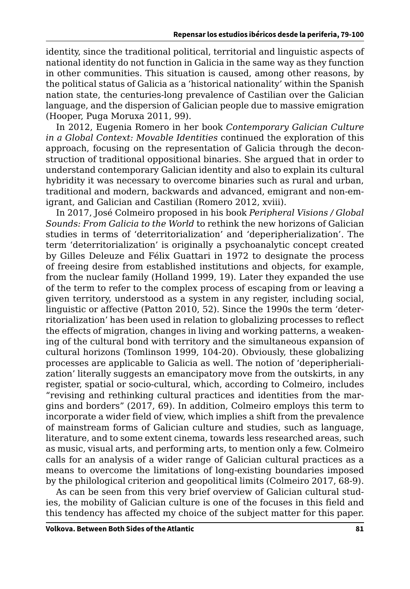identity, since the traditional political, territorial and linguistic aspects of national identity do not function in Galicia in the same way as they function in other communities. This situation is caused, among other reasons, by the political status of Galicia as a 'historical nationality' within the Spanish nation state, the centuries-long prevalence of Castilian over the Galician language, and the dispersion of Galician people due to massive emigration (Hooper, Puga Moruxa 2011, 99).

In 2012, Eugenia Romero in her book *Contemporary Galician Culture in a Global Context: Movable Identities* continued the exploration of this approach, focusing on the representation of Galicia through the deconstruction of traditional oppositional binaries. She argued that in order to understand contemporary Galician identity and also to explain its cultural hybridity it was necessary to overcome binaries such as rural and urban, traditional and modern, backwards and advanced, emigrant and non-emigrant, and Galician and Castilian (Romero 2012, xviii).

In 2017, José Colmeiro proposed in his book *Peripheral Visions / Global Sounds: From Galicia to the World* to rethink the new horizons of Galician studies in terms of 'deterritorialization' and 'deperipherialization'. The term 'deterritorialization' is originally a psychoanalytic concept created by Gilles Deleuze and Félix Guattari in 1972 to designate the process of freeing desire from established institutions and objects, for example, from the nuclear family (Holland 1999, 19). Later they expanded the use of the term to refer to the complex process of escaping from or leaving a given territory, understood as a system in any register, including social, linguistic or affective (Patton 2010, 52). Since the 1990s the term 'deterritorialization' has been used in relation to globalizing processes to reflect the effects of migration, changes in living and working patterns, a weakening of the cultural bond with territory and the simultaneous expansion of cultural horizons (Tomlinson 1999, 104-20). Obviously, these globalizing processes are applicable to Galicia as well. The notion of 'deperipherialization' literally suggests an emancipatory move from the outskirts, in any register, spatial or socio-cultural, which, according to Colmeiro, includes "revising and rethinking cultural practices and identities from the margins and borders" (2017, 69). In addition, Colmeiro employs this term to incorporate a wider field of view, which implies a shift from the prevalence of mainstream forms of Galician culture and studies, such as language, literature, and to some extent cinema, towards less researched areas, such as music, visual arts, and performing arts, to mention only a few. Colmeiro calls for an analysis of a wider range of Galician cultural practices as a means to overcome the limitations of long-existing boundaries imposed by the philological criterion and geopolitical limits (Colmeiro 2017, 68-9).

As can be seen from this very brief overview of Galician cultural studies, the mobility of Galician culture is one of the focuses in this field and this tendency has affected my choice of the subject matter for this paper.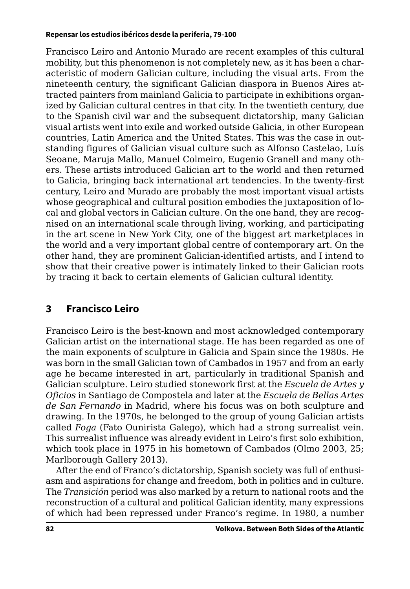<span id="page-3-0"></span>Francisco Leiro and Antonio Murado are recent examples of this cultural mobility, but this phenomenon is not completely new, as it has been a characteristic of modern Galician culture, including the visual arts. From the nineteenth century, the significant Galician diaspora in Buenos Aires attracted painters from mainland Galicia to participate in exhibitions organized by Galician cultural centres in that city. In the twentieth century, due to the Spanish civil war and the subsequent dictatorship, many Galician visual artists went into exile and worked outside Galicia, in other European countries, Latin America and the United States. This was the case in outstanding figures of Galician visual culture such as Alfonso Castelao, Luís Seoane, Maruja Mallo, Manuel Colmeiro, Eugenio Granell and many others. These artists introduced Galician art to the world and then returned to Galicia, bringing back international art tendencies. In the twenty-first century, Leiro and Murado are probably the most important visual artists whose geographical and cultural position embodies the juxtaposition of local and global vectors in Galician culture. On the one hand, they are recognised on an international scale through living, working, and participating in the art scene in New York City, one of the biggest art marketplaces in the world and a very important global centre of contemporary art. On the other hand, they are prominent Galician-identified artists, and I intend to show that their creative power is intimately linked to their Galician roots by tracing it back to certain elements of Galician cultural identity.

## **3 Francisco Leiro**

Francisco Leiro is the best-known and most acknowledged contemporary Galician artist on the international stage. He has been regarded as one of the main exponents of sculpture in Galicia and Spain since the 1980s. He was born in the small Galician town of Cambados in 1957 and from an early age he became interested in art, particularly in traditional Spanish and Galician sculpture. Leiro studied stonework first at the *Escuela de Artes y Oficios* in Santiago de Compostela and later at the *Escuela de Bellas Artes de San Fernando* in Madrid, where his focus was on both sculpture and drawing. In the 1970s, he belonged to the group of young Galician artists called *Foga* (Fato Ounirista Galego), which had a strong surrealist vein. This surrealist influence was already evident in Leiro's first solo exhibition, which took place in 1975 in his hometown of Cambados (Olmo 2003, 25; Marlborough Gallery 2013).

After the end of Franco's dictatorship, Spanish society was full of enthusiasm and aspirations for change and freedom, both in politics and in culture. The *Transición* period was also marked by a return to national roots and the reconstruction of a cultural and political Galician identity, many expressions of which had been repressed under Franco's regime. In 1980, a number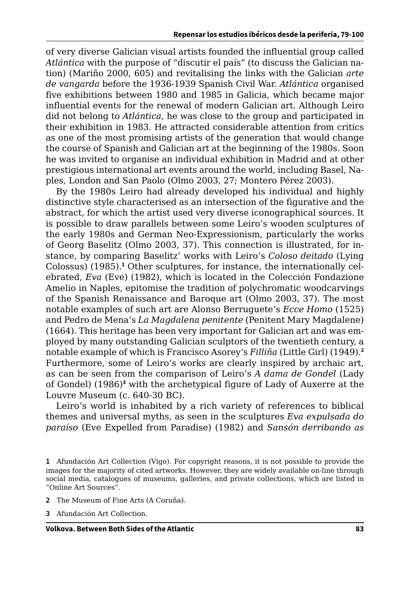of very diverse Galician visual artists founded the influential group called *Atlántica* with the purpose of "discutir el país" (to discuss the Galician nation) (Mariño 2000, 605) and revitalising the links with the Galician *arte de vangarda* before the 1936-1939 Spanish Civil War. *Atlántica* organised five exhibitions between 1980 and 1985 in Galicia, which became major influential events for the renewal of modern Galician art. Although Leiro did not belong to *Atlántica*, he was close to the group and participated in their exhibition in 1983. He attracted considerable attention from critics as one of the most promising artists of the generation that would change the course of Spanish and Galician art at the beginning of the 1980s. Soon he was invited to organise an individual exhibition in Madrid and at other prestigious international art events around the world, including Basel, Naples, London and San Paolo (Olmo 2003, 27; Montero Pérez 2003).

By the 1980s Leiro had already developed his individual and highly distinctive style characterised as an intersection of the figurative and the abstract, for which the artist used very diverse iconographical sources. It is possible to draw parallels between some Leiro's wooden sculptures of the early 1980s and German Neo-Expressionism, particularly the works of Georg Baselitz (Olmo 2003, 37). This connection is illustrated, for instance, by comparing Baselitz' works with Leiro's *Coloso deitado* (Lying Colossus) (1985).<sup>1</sup> Other sculptures, for instance, the internationally celebrated, *Eva* (Eve) (1982), which is located in the Colección Fondazione Amelio in Naples, epitomise the tradition of polychromatic woodcarvings of the Spanish Renaissance and Baroque art (Olmo 2003, 37). The most notable examples of such art are Alonso Berruguete's *Ecce Homo* (1525) and Pedro de Mena's *La Magdalena penitente* (Penitent Mary Magdalene) (1664). This heritage has been very important for Galician art and was employed by many outstanding Galician sculptors of the twentieth century, a notable example of which is Francisco Asorey's *Filliña* (Little Girl) (1949).**<sup>2</sup>** Furthermore, some of Leiro's works are clearly inspired by archaic art, as can be seen from the comparison of Leiro's *A dama de Gondel* (Lady of Gondel) (1986)**<sup>3</sup>** with the archetypical figure of Lady of Auxerre at the Louvre Museum (c. 640-30 BC).

Leiro's world is inhabited by a rich variety of references to biblical themes and universal myths, as seen in the sculptures *Eva expulsada do paraíso* (Eve Expelled from Paradise) (1982) and *Sansón derribando as* 

- **2** The Museum of Fine Arts (A Coruña).
- **3** Afundación Art Collection.

**<sup>1</sup>** Afundación Art Collection (Vigo). For copyright reasons, it is not possible to provide the images for the majority of cited artworks. However, they are widely available on-line through social media, catalogues of museums, galleries, and private collections, which are listed in "Online Art Sources".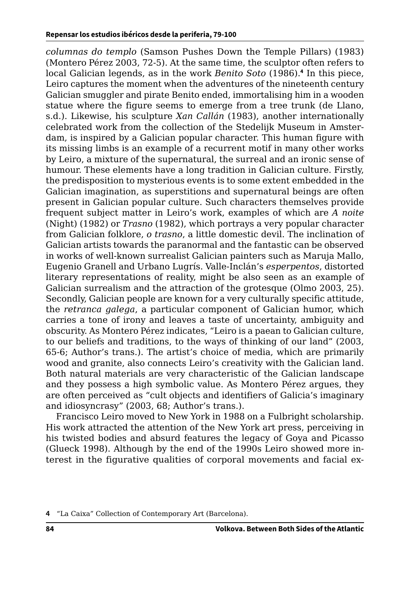*columnas do templo* (Samson Pushes Down the Temple Pillars) (1983) (Montero Pérez 2003, 72-5). At the same time, the sculptor often refers to local Galician legends, as in the work *Benito Soto* (1986).**<sup>4</sup>** In this piece, Leiro captures the moment when the adventures of the nineteenth century Galician smuggler and pirate Benito ended, immortalising him in a wooden statue where the figure seems to emerge from a tree trunk (de Llano, s.d.). Likewise, his sculpture *Xan Callán* (1983), another internationally celebrated work from the collection of the Stedelijk Museum in Amsterdam, is inspired by a Galician popular character. This human figure with its missing limbs is an example of a recurrent motif in many other works by Leiro, a mixture of the supernatural, the surreal and an ironic sense of humour. These elements have a long tradition in Galician culture. Firstly, the predisposition to mysterious events is to some extent embedded in the Galician imagination, as superstitions and supernatural beings are often present in Galician popular culture. Such characters themselves provide frequent subject matter in Leiro's work, examples of which are *A noite*  (Night) (1982) or *Trasno* (1982), which portrays a very popular character from Galician folklore, *o trasno*, a little domestic devil. The inclination of Galician artists towards the paranormal and the fantastic can be observed in works of well-known surrealist Galician painters such as Maruja Mallo, Eugenio Granell and Urbano Lugrís. Valle-Inclán's *esperpentos*, distorted literary representations of reality, might be also seen as an example of Galician surrealism and the attraction of the grotesque (Olmo 2003, 25). Secondly, Galician people are known for a very culturally specific attitude, the *retranca galega*, a particular component of Galician humor, which carries a tone of irony and leaves a taste of uncertainty, ambiguity and obscurity. As Montero Pérez indicates, "Leiro is a paean to Galician culture, to our beliefs and traditions, to the ways of thinking of our land" (2003, 65-6; Author's trans.). The artist's choice of media, which are primarily wood and granite, also connects Leiro's creativity with the Galician land. Both natural materials are very characteristic of the Galician landscape and they possess a high symbolic value. As Montero Pérez argues, they are often perceived as "cult objects and identifiers of Galicia's imaginary and idiosyncrasy" (2003, 68; Author's trans.).

Francisco Leiro moved to New York in 1988 on a Fulbright scholarship. His work attracted the attention of the New York art press, perceiving in his twisted bodies and absurd features the legacy of Goya and Picasso (Glueck 1998). Although by the end of the 1990s Leiro showed more interest in the figurative qualities of corporal movements and facial ex-

**<sup>4</sup>** "La Caixa" Collection of Contemporary Art (Barcelona).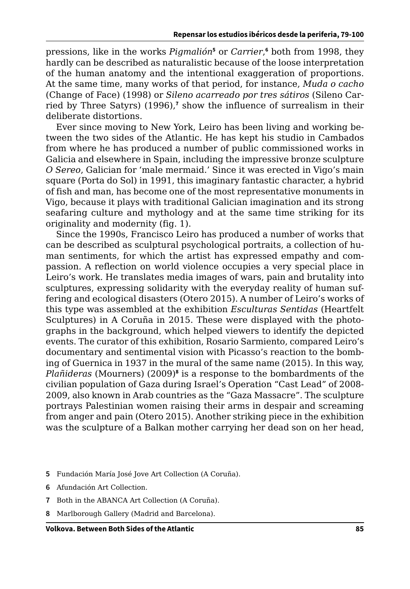pressions, like in the works Pigmalión<sup>5</sup> or Carrier,<sup>6</sup> both from 1998, they hardly can be described as naturalistic because of the loose interpretation of the human anatomy and the intentional exaggeration of proportions. At the same time, many works of that period, for instance, *Muda o cacho* (Change of Face) (1998) or *Sileno acarreado por tres sátiros* (Sileno Carried by Three Satyrs) (1996),**<sup>7</sup>** show the influence of surrealism in their deliberate distortions.

Ever since moving to New York, Leiro has been living and working between the two sides of the Atlantic. He has kept his studio in Cambados from where he has produced a number of public commissioned works in Galicia and elsewhere in Spain, including the impressive bronze sculpture *O Sereo*, Galician for 'male mermaid.' Since it was erected in Vigo's main square (Porta do Sol) in 1991, this imaginary fantastic character, a hybrid of fish and man, has become one of the most representative monuments in Vigo, because it plays with traditional Galician imagination and its strong seafaring culture and mythology and at the same time striking for its originality and modernity (fig. 1).

Since the 1990s, Francisco Leiro has produced a number of works that can be described as sculptural psychological portraits, a collection of human sentiments, for which the artist has expressed empathy and compassion. A reflection on world violence occupies a very special place in Leiro's work. He translates media images of wars, pain and brutality into sculptures, expressing solidarity with the everyday reality of human suffering and ecological disasters (Otero 2015). A number of Leiro's works of this type was assembled at the exhibition *Esculturas Sentidas* (Heartfelt Sculptures) in A Coruña in 2015. These were displayed with the photographs in the background, which helped viewers to identify the depicted events. The curator of this exhibition, Rosario Sarmiento, compared Leiro's documentary and sentimental vision with Picasso's reaction to the bombing of Guernica in 1937 in the mural of the same name (2015). In this way, *Plañideras* (Mourners) (2009)**<sup>8</sup>** is a response to the bombardments of the civilian population of Gaza during Israel's Operation "Cast Lead" of 2008- 2009, also known in Arab countries as the "Gaza Massacre". The sculpture portrays Palestinian women raising their arms in despair and screaming from anger and pain (Otero 2015). Another striking piece in the exhibition was the sculpture of a Balkan mother carrying her dead son on her head,

- **5** Fundación María José Jove Art Collection (A Coruña).
- **6** Afundación Art Collection.
- **7** Both in the ABANCA Art Collection (A Coruña).
- **8** Marlborough Gallery (Madrid and Barcelona).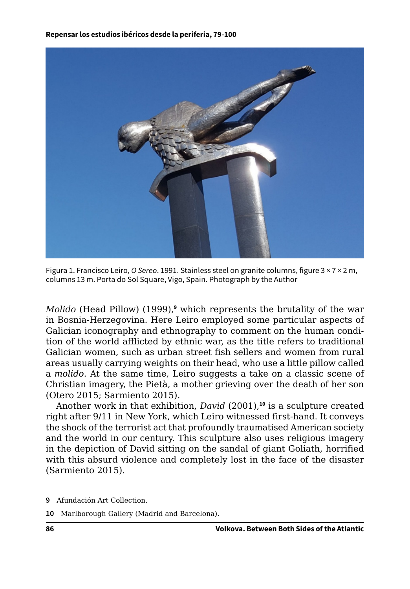

Figura 1. Francisco Leiro, *O Sereo*. 1991. Stainless steel on granite columns, figure 3 × 7 × 2 m, columns 13 m. Porta do Sol Square, Vigo, Spain. Photograph by the Author

*Molido* (Head Pillow) (1999),**<sup>9</sup>** which represents the brutality of the war in Bosnia-Herzegovina. Here Leiro employed some particular aspects of Galician iconography and ethnography to comment on the human condition of the world afflicted by ethnic war, as the title refers to traditional Galician women, such as urban street fish sellers and women from rural areas usually carrying weights on their head, who use a little pillow called a *molido*. At the same time, Leiro suggests a take on a classic scene of Christian imagery, the Pietà, a mother grieving over the death of her son (Otero 2015; Sarmiento 2015).

Another work in that exhibition, *David* (2001),**<sup>10</sup>** is a sculpture created right after 9/11 in New York, which Leiro witnessed first-hand. It conveys the shock of the terrorist act that profoundly traumatised American society and the world in our century. This sculpture also uses religious imagery in the depiction of David sitting on the sandal of giant Goliath, horrified with this absurd violence and completely lost in the face of the disaster (Sarmiento 2015).

- **9** Afundación Art Collection.
- **10** Marlborough Gallery (Madrid and Barcelona).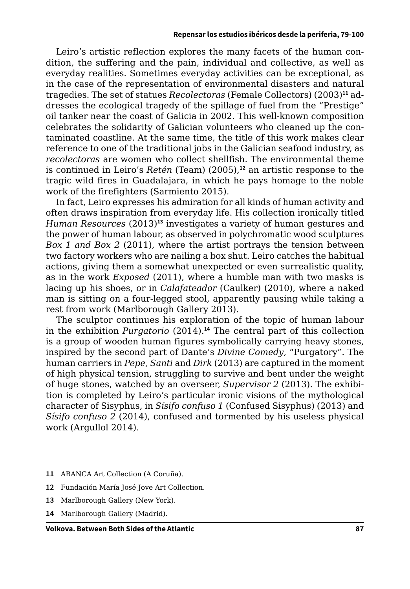Leiro's artistic reflection explores the many facets of the human condition, the suffering and the pain, individual and collective, as well as everyday realities. Sometimes everyday activities can be exceptional, as in the case of the representation of environmental disasters and natural tragedies. The set of statues *Recolectoras* (Female Collectors) (2003)**11** addresses the ecological tragedy of the spillage of fuel from the "Prestige" oil tanker near the coast of Galicia in 2002. This well-known composition celebrates the solidarity of Galician volunteers who cleaned up the contaminated coastline. At the same time, the title of this work makes clear reference to one of the traditional jobs in the Galician seafood industry, as *recolectoras* are women who collect shellfish. The environmental theme is continued in Leiro's *Retén* (Team) (2005),**<sup>12</sup>** an artistic response to the tragic wild fires in Guadalajara, in which he pays homage to the noble work of the firefighters (Sarmiento 2015).

In fact, Leiro expresses his admiration for all kinds of human activity and often draws inspiration from everyday life. His collection ironically titled *Human Resources* (2013)**<sup>13</sup>** investigates a variety of human gestures and the power of human labour, as observed in polychromatic wood sculptures *Box 1 and Box 2* (2011), where the artist portrays the tension between two factory workers who are nailing a box shut. Leiro catches the habitual actions, giving them a somewhat unexpected or even surrealistic quality, as in the work *Exposed* (2011), where a humble man with two masks is lacing up his shoes, or in *Calafateador* (Caulker) (2010), where a naked man is sitting on a four-legged stool, apparently pausing while taking a rest from work (Marlborough Gallery 2013).

The sculptor continues his exploration of the topic of human labour in the exhibition *Purgatorio* (2014).**<sup>14</sup>** The central part of this collection is a group of wooden human figures symbolically carrying heavy stones, inspired by the second part of Dante's *Divine Comedy*, "Purgatory". The human carriers in *Pepe, Santi* and *Dirk* (2013) are captured in the moment of high physical tension, struggling to survive and bent under the weight of huge stones, watched by an overseer, *Supervisor 2* (2013). The exhibition is completed by Leiro's particular ironic visions of the mythological character of Sisyphus, in *Sísifo confuso 1* (Confused Sisyphus) (2013) and *Sísifo confuso 2* (2014), confused and tormented by his useless physical work (Argullol 2014).

- **11** ABANCA Art Collection (A Coruña).
- **12** Fundación María José Jove Art Collection.
- **13** Marlborough Gallery (New York).
- **14** Marlborough Gallery (Madrid).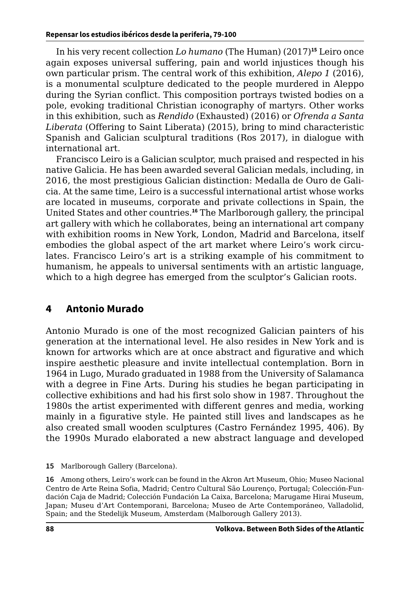In his very recent collection *Lo humano* (The Human) (2017)**<sup>15</sup>** Leiro once again exposes universal suffering, pain and world injustices though his own particular prism. The central work of this exhibition, *Alepo 1* (2016), is a monumental sculpture dedicated to the people murdered in Aleppo during the Syrian conflict. This composition portrays twisted bodies on a pole, evoking traditional Christian iconography of martyrs. Other works in this exhibition, such as *Rendido* (Exhausted) (2016) or *Ofrenda a Santa Liberata* (Offering to Saint Liberata) (2015), bring to mind characteristic Spanish and Galician sculptural traditions (Ros 2017), in dialogue with international art.

Francisco Leiro is a Galician sculptor, much praised and respected in his native Galicia. He has been awarded several Galician medals, including, in 2016, the most prestigious Galician distinction: Medalla de Ouro de Galicia. At the same time, Leiro is a successful international artist whose works are located in museums, corporate and private collections in Spain, the United States and other countries.**<sup>16</sup>** The Marlborough gallery, the principal art gallery with which he collaborates, being an international art company with exhibition rooms in New York, London, Madrid and Barcelona, itself embodies the global aspect of the art market where Leiro's work circulates. Francisco Leiro's art is a striking example of his commitment to humanism, he appeals to universal sentiments with an artistic language, which to a high degree has emerged from the sculptor's Galician roots.

#### **4 Antonio Murado**

Antonio Murado is one of the most recognized Galician painters of his generation at the international level. He also resides in New York and is known for artworks which are at once abstract and figurative and which inspire aesthetic pleasure and invite intellectual contemplation. Born in 1964 in Lugo, Murado graduated in 1988 from the University of Salamanca with a degree in Fine Arts. During his studies he began participating in collective exhibitions and had his first solo show in 1987. Throughout the 1980s the artist experimented with different genres and media, working mainly in a figurative style. He painted still lives and landscapes as he also created small wooden sculptures (Castro Fernández 1995, 406). By the 1990s Murado elaborated a new abstract language and developed

**16** Among others, Leiro's work can be found in the Akron Art Museum, Ohio; Museo Nacional Centro de Arte Reina Sofia, Madrid; Centro Cultural São Lourenço, Portugal; Colección-Fundación Caja de Madrid; Colección Fundación La Caixa, Barcelona; Marugame Hirai Museum, Japan; Museu d'Art Contemporani, Barcelona; Museo de Arte Contemporáneo, Valladolid, Spain; and the Stedelijk Museum, Amsterdam (Malborough Gallery 2013).

**<sup>15</sup>** Marlborough Gallery (Barcelona).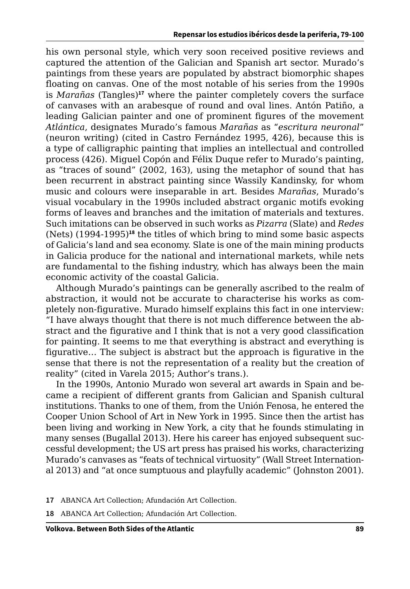<span id="page-10-0"></span>his own personal style, which very soon received positive reviews and captured the attention of the Galician and Spanish art sector. Murado's paintings from these years are populated by abstract biomorphic shapes floating on canvas. One of the most notable of his series from the 1990s is *Marañas* (Tangles)**<sup>17</sup>** where the painter completely covers the surface of canvases with an arabesque of round and oval lines. Antón Patiño, a leading Galician painter and one of prominent figures of the movement *Atlántica*, designates Murado's famous *Marañas* as "*escritura neuronal*" (neuron writing) (cited in Castro Fernández 1995, 426), because this is a type of calligraphic painting that implies an intellectual and controlled process (426). Miguel Copón and Félix Duque refer to Murado's painting, as "traces of sound" (2002, 163), using the metaphor of sound that has been recurrent in abstract painting since Wassily Kandinsky, for whom music and colours were inseparable in art. Besides *Marañas*, Murado's visual vocabulary in the 1990s included abstract organic motifs evoking forms of leaves and branches and the imitation of materials and textures. Such imitations can be observed in such works as *Pizarra* (Slate) and *Redes* (Nets) (1994-1995)**<sup>18</sup>** the titles of which bring to mind some basic aspects of Galicia's land and sea economy. Slate is one of the main mining products in Galicia produce for the national and international markets, while nets are fundamental to the fishing industry, which has always been the main economic activity of the coastal Galicia.

Although Murado's paintings can be generally ascribed to the realm of abstraction, it would not be accurate to characterise his works as completely non-figurative. Murado himself explains this fact in one interview: "I have always thought that there is not much difference between the abstract and the figurative and I think that is not a very good classification for painting. It seems to me that everything is abstract and everything is figurative… The subject is abstract but the approach is figurative in the sense that there is not the representation of a reality but the creation of reality" (cited in Varela 2015; Author's trans.).

In the 1990s, Antonio Murado won several art awards in Spain and became a recipient of different grants from Galician and Spanish cultural institutions. Thanks to one of them, from the Unión Fenosa, he entered the Cooper Union School of Art in New York in 1995. Since then the artist has been living and working in New York, a city that he founds stimulating in many senses (Bugallal 2013). Here his career has enjoyed subsequent successful development; the US art press has praised his works, characterizing Murado's canvases as "feats of technical virtuosity" (Wall Street International 2013) and "at once sumptuous and playfully academic" (Johnston 2001).

- **17** ABANCA Art Collection; Afundación Art Collection.
- **18** ABANCA Art Collection; Afundación Art Collection.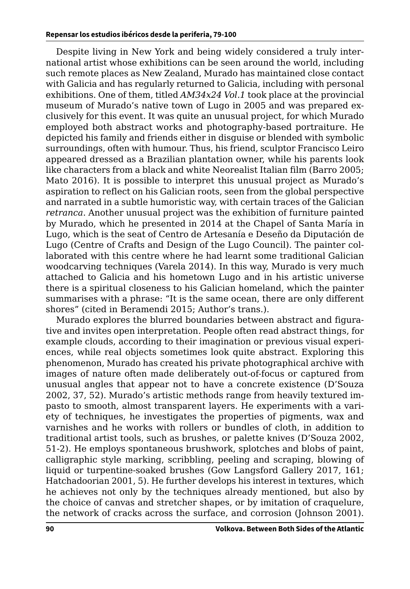Despite living in New York and being widely considered a truly international artist whose exhibitions can be seen around the world, including such remote places as New Zealand, Murado has maintained close contact with Galicia and has regularly returned to Galicia, including with personal exhibitions. One of them, titled *AM34x24 Vol.1* took place at the provincial museum of Murado's native town of Lugo in 2005 and was prepared exclusively for this event. It was quite an unusual project, for which Murado employed both abstract works and photography-based portraiture. He depicted his family and friends either in disguise or blended with symbolic surroundings, often with humour. Thus, his friend, sculptor Francisco Leiro appeared dressed as a Brazilian plantation owner, while his parents look like characters from a black and white Neorealist Italian film (Barro 2005; Mato 2016). It is possible to interpret this unusual project as Murado's aspiration to reflect on his Galician roots, seen from the global perspective and narrated in a subtle humoristic way, with certain traces of the Galician *retranca*. Another unusual project was the exhibition of furniture painted by Murado, which he presented in 2014 at the Chapel of Santa María in Lugo, which is the seat of Centro de Artesanía e Deseño da Diputación de Lugo (Centre of Crafts and Design of the Lugo Council). The painter collaborated with this centre where he had learnt some traditional Galician woodcarving techniques (Varela 2014). In this way, Murado is very much attached to Galicia and his hometown Lugo and in his artistic universe there is a spiritual closeness to his Galician homeland, which the painter summarises with a phrase: "It is the same ocean, there are only different shores" (cited in Beramendi 2015; Author's trans.).

Murado explores the blurred boundaries between abstract and figurative and invites open interpretation. People often read abstract things, for example clouds, according to their imagination or previous visual experiences, while real objects sometimes look quite abstract. Exploring this phenomenon, Murado has created his private photographical archive with images of nature often made deliberately out-of-focus or captured from unusual angles that appear not to have a concrete existence (D'Souza 2002, 37, 52). Murado's artistic methods range from heavily textured impasto to smooth, almost transparent layers. He experiments with a variety of techniques, he investigates the properties of pigments, wax and varnishes and he works with rollers or bundles of cloth, in addition to traditional artist tools, such as brushes, or palette knives (D'Souza 2002, 51-2). He employs spontaneous brushwork, splotches and blobs of paint, calligraphic style marking, scribbling, peeling and scraping, blowing of liquid or turpentine-soaked brushes (Gow Langsford Gallery 2017, 161; Hatchadoorian 2001, 5). He further develops his interest in textures, which he achieves not only by the techniques already mentioned, but also by the choice of canvas and stretcher shapes, or by imitation of craquelure, the network of cracks across the surface, and corrosion (Johnson 2001).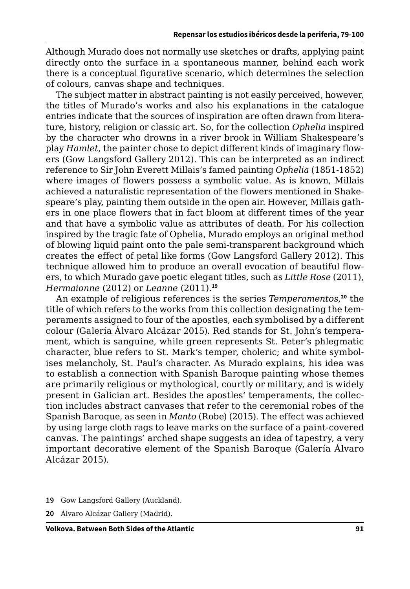Although Murado does not normally use sketches or drafts, applying paint directly onto the surface in a spontaneous manner, behind each work there is a conceptual figurative scenario, which determines the selection of colours, canvas shape and techniques.

The subject matter in abstract painting is not easily perceived, however, the titles of Murado's works and also his explanations in the catalogue entries indicate that the sources of inspiration are often drawn from literature, history, religion or classic art. So, for the collection *Ophelia* inspired by the character who drowns in a river brook in William Shakespeare's play *Hamlet*, the painter chose to depict different kinds of imaginary flowers (Gow Langsford Gallery 2012). This can be interpreted as an indirect reference to Sir John Everett Millais's famed painting *Ophelia* (1851-1852) where images of flowers possess a symbolic value. As is known, Millais achieved a naturalistic representation of the flowers mentioned in Shakespeare's play, painting them outside in the open air. However, Millais gathers in one place flowers that in fact bloom at different times of the year and that have a symbolic value as attributes of death. For his collection inspired by the tragic fate of Ophelia, Murado employs an original method of blowing liquid paint onto the pale semi-transparent background which creates the effect of petal like forms (Gow Langsford Gallery 2012). This technique allowed him to produce an overall evocation of beautiful flowers, to which Murado gave poetic elegant titles, such as *Little Rose* (2011), *Hermaionne* (2012) or *Leanne* (2011).**<sup>19</sup>**

An example of religious references is the series *Temperamentos*, **<sup>20</sup>** the title of which refers to the works from this collection designating the temperaments assigned to four of the apostles, each symbolised by a different colour (Galería Álvaro Alcázar 2015). Red stands for St. John's temperament, which is sanguine, while green represents St. Peter's phlegmatic character, blue refers to St. Mark's temper, choleric; and white symbolises melancholy, St. Paul's character. As Murado explains, his idea was to establish a connection with Spanish Baroque painting whose themes are primarily religious or mythological, courtly or military, and is widely present in Galician art. Besides the apostles' temperaments, the collection includes abstract canvases that refer to the ceremonial robes of the Spanish Baroque, as seen in *Manto* (Robe) (2015). The effect was achieved by using large cloth rags to leave marks on the surface of a paint-covered canvas. The paintings' arched shape suggests an idea of tapestry, a very important decorative element of the Spanish Baroque (Galería Álvaro Alcázar 2015).

- **19** Gow Langsford Gallery (Auckland).
- **20** Álvaro Alcázar Gallery (Madrid).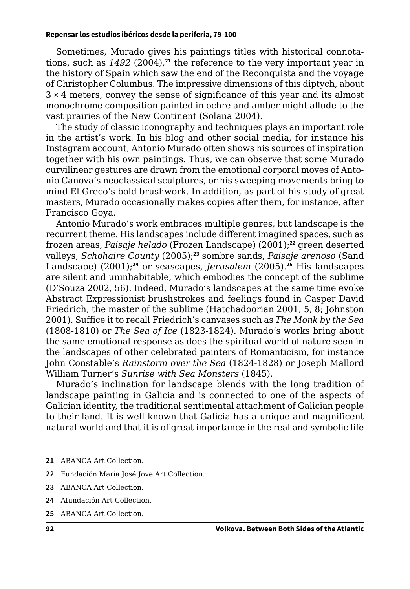Sometimes, Murado gives his paintings titles with historical connotations, such as *1492* (2004),**<sup>21</sup>** the reference to the very important year in the history of Spain which saw the end of the Reconquista and the voyage of Christopher Columbus. The impressive dimensions of this diptych, about 3 × 4 meters, convey the sense of significance of this year and its almost monochrome composition painted in ochre and amber might allude to the vast prairies of the New Continent (Solana 2004).

The study of classic iconography and techniques plays an important role in the artist's work. In his blog and other social media, for instance his Instagram account, Antonio Murado often shows his sources of inspiration together with his own paintings. Thus, we can observe that some Murado curvilinear gestures are drawn from the emotional corporal moves of Antonio Canova's neoclassical sculptures, or his sweeping movements bring to mind El Greco's bold brushwork. In addition, as part of his study of great masters, Murado occasionally makes copies after them, for instance, after Francisco Goya.

Antonio Murado's work embraces multiple genres, but landscape is the recurrent theme. His landscapes include different imagined spaces, such as frozen areas, *Paisaje helado* (Frozen Landscape) (2001);**<sup>22</sup>** green deserted valleys, *Schohaire County* (2005);**<sup>23</sup>** sombre sands, *Paisaje arenoso* (Sand Landscape) (2001);**<sup>24</sup>** or seascapes, *Jerusalem* (2005).**<sup>25</sup>** His landscapes are silent and uninhabitable, which embodies the concept of the sublime (D'Souza 2002, 56). Indeed, Murado's landscapes at the same time evoke Abstract Expressionist brushstrokes and feelings found in Casper David Friedrich, the master of the sublime (Hatchadoorian 2001, 5, 8; Johnston 2001). Suffice it to recall Friedrich's canvases such as *The Monk by the Sea* (1808-1810) or *The Sea of Ice* (1823-1824). Murado's works bring about the same emotional response as does the spiritual world of nature seen in the landscapes of other celebrated painters of Romanticism, for instance John Constable's *Rainstorm over the Sea* (1824-1828) or Joseph Mallord William Turner's *Sunrise with Sea Monsters* (1845).

Murado's inclination for landscape blends with the long tradition of landscape painting in Galicia and is connected to one of the aspects of Galician identity, the traditional sentimental attachment of Galician people to their land. It is well known that Galicia has a unique and magnificent natural world and that it is of great importance in the real and symbolic life

- **21** ABANCA Art Collection.
- **22** Fundación María José Jove Art Collection.
- **23** ABANCA Art Collection.
- **24** Afundación Art Collection.
- **25** ABANCA Art Collection.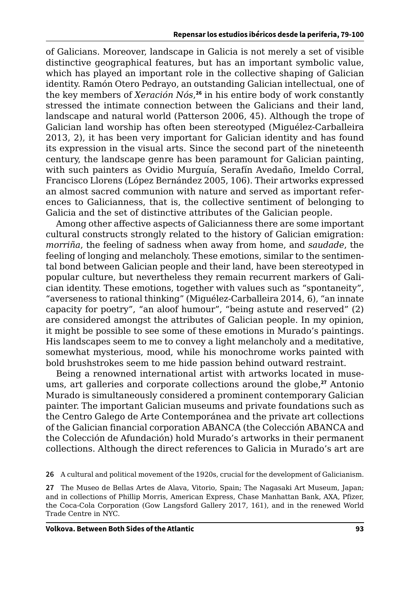of Galicians. Moreover, landscape in Galicia is not merely a set of visible distinctive geographical features, but has an important symbolic value, which has played an important role in the collective shaping of Galician identity. Ramón Otero Pedrayo, an outstanding Galician intellectual, one of the key members of *Xeración Nós*, **<sup>26</sup>** in his entire body of work constantly stressed the intimate connection between the Galicians and their land, landscape and natural world (Patterson 2006, 45). Although the trope of Galician land worship has often been stereotyped (Miguélez-Carballeira 2013, 2), it has been very important for Galician identity and has found its expression in the visual arts. Since the second part of the nineteenth century, the landscape genre has been paramount for Galician painting, with such painters as Ovidio Murguía, Serafín Avedaño, Imeldo Corral, Francisco Llorens (López Bernández 2005, 106). Their artworks expressed an almost sacred communion with nature and served as important references to Galicianness, that is, the collective sentiment of belonging to Galicia and the set of distinctive attributes of the Galician people.

Among other affective aspects of Galicianness there are some important cultural constructs strongly related to the history of Galician emigration: *morriña*, the feeling of sadness when away from home, and *saudade*, the feeling of longing and melancholy. These emotions, similar to the sentimental bond between Galician people and their land, have been stereotyped in popular culture, but nevertheless they remain recurrent markers of Galician identity. These emotions, together with values such as "spontaneity", "averseness to rational thinking" (Miguélez-Carballeira 2014, 6), "an innate capacity for poetry", "an aloof humour", "being astute and reserved" (2) are considered amongst the attributes of Galician people. In my opinion, it might be possible to see some of these emotions in Murado's paintings. His landscapes seem to me to convey a light melancholy and a meditative, somewhat mysterious, mood, while his monochrome works painted with bold brushstrokes seem to me hide passion behind outward restraint.

Being a renowned international artist with artworks located in museums, art galleries and corporate collections around the globe,**<sup>27</sup>** Antonio Murado is simultaneously considered a prominent contemporary Galician painter. The important Galician museums and private foundations such as the Centro Galego de Arte Contemporánea and the private art collections of the Galician financial corporation ABANCA (the Colección ABANCA and the Colección de Afundación) hold Murado's artworks in their permanent collections. Although the direct references to Galicia in Murado's art are

**26** A cultural and political movement of the 1920s, crucial for the development of Galicianism.

**27** The Museo de Bellas Artes de Alava, Vitorio, Spain; The Nagasaki Art Museum, Japan; and in collections of Phillip Morris, American Express, Chase Manhattan Bank, AXA, Pfizer, the Coca-Cola Corporation (Gow Langsford Gallery 2017, 161), and in the renewed World Trade Centre in NYC.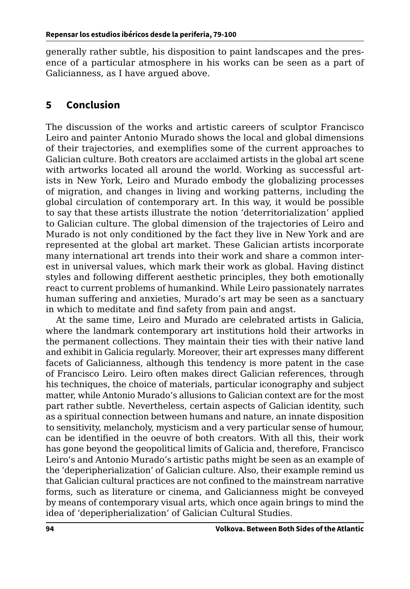<span id="page-15-0"></span>generally rather subtle, his disposition to paint landscapes and the presence of a particular atmosphere in his works can be seen as a part of Galicianness, as I have argued above.

### **5 Conclusion**

The discussion of the works and artistic careers of sculptor Francisco Leiro and painter Antonio Murado shows the local and global dimensions of their trajectories, and exemplifies some of the current approaches to Galician culture. Both creators are acclaimed artists in the global art scene with artworks located all around the world. Working as successful artists in New York, Leiro and Murado embody the globalizing processes of migration, and changes in living and working patterns, including the global circulation of contemporary art. In this way, it would be possible to say that these artists illustrate the notion 'deterritorialization' applied to Galician culture. The global dimension of the trajectories of Leiro and Murado is not only conditioned by the fact they live in New York and are represented at the global art market. These Galician artists incorporate many international art trends into their work and share a common interest in universal values, which mark their work as global. Having distinct styles and following different aesthetic principles, they both emotionally react to current problems of humankind. While Leiro passionately narrates human suffering and anxieties, Murado's art may be seen as a sanctuary in which to meditate and find safety from pain and angst.

At the same time, Leiro and Murado are celebrated artists in Galicia, where the landmark contemporary art institutions hold their artworks in the permanent collections. They maintain their ties with their native land and exhibit in Galicia regularly. Moreover, their art expresses many different facets of Galicianness, although this tendency is more patent in the case of Francisco Leiro. Leiro often makes direct Galician references, through his techniques, the choice of materials, particular iconography and subject matter, while Antonio Murado's allusions to Galician context are for the most part rather subtle. Nevertheless, certain aspects of Galician identity, such as a spiritual connection between humans and nature, an innate disposition to sensitivity, melancholy, mysticism and a very particular sense of humour, can be identified in the oeuvre of both creators. With all this, their work has gone beyond the geopolitical limits of Galicia and, therefore, Francisco Leiro's and Antonio Murado's artistic paths might be seen as an example of the 'deperipherialization' of Galician culture. Also, their example remind us that Galician cultural practices are not confined to the mainstream narrative forms, such as literature or cinema, and Galicianness might be conveyed by means of contemporary visual arts, which once again brings to mind the idea of 'deperipherialization' of Galician Cultural Studies.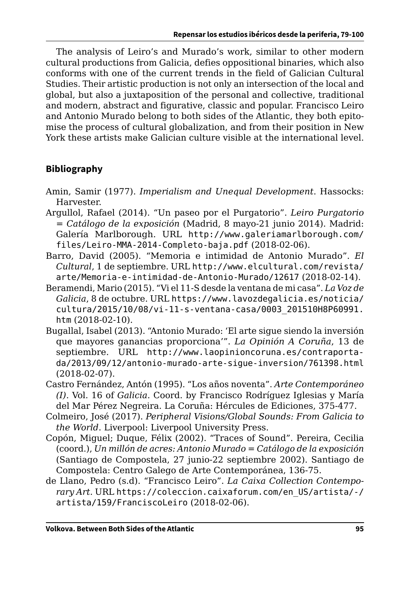The analysis of Leiro's and Murado's work, similar to other modern cultural productions from Galicia, defies oppositional binaries, which also conforms with one of the current trends in the field of Galician Cultural Studies. Their artistic production is not only an intersection of the local and global, but also a juxtaposition of the personal and collective, traditional and modern, abstract and figurative, classic and popular. Francisco Leiro and Antonio Murado belong to both sides of the Atlantic, they both epitomise the process of cultural globalization, and from their position in New York these artists make Galician culture visible at the international level.

#### **Bibliography**

- Amin, Samir (1977). *Imperialism and Unequal Development*. Hassocks: Harvester.
- Argullol, Rafael (2014). "Un paseo por el Purgatorio". *Leiro Purgatorio = Catálogo de la exposición* (Madrid, 8 mayo-21 junio 2014). Madrid: Galería Marlborough. URL [http://www.galeriamarlborough.com/](http://www.galeriamarlborough.com/files/Leiro-MMA-2014-Completo-baja.pdf) [files/Leiro-MMA-2014-Completo-baja.pdf](http://www.galeriamarlborough.com/files/Leiro-MMA-2014-Completo-baja.pdf) (2018-02-06).
- Barro, David (2005). "Memoria e intimidad de Antonio Murado". *El Cultural*, 1 de septiembre. URL [http://www.elcultural.com/revista/](http://www.elcultural.com/revista/arte/Memoria-e-intimidad-de-Antonio-Murado/12617) [arte/Memoria-e-intimidad-de-Antonio-Murado/12617](http://www.elcultural.com/revista/arte/Memoria-e-intimidad-de-Antonio-Murado/12617) (2018-02-14).
- Beramendi, Mario (2015). "Vi el 11-S desde la ventana de mi casa". *La Voz de Galicia*, 8 de octubre. URL [https://www.lavozdegalicia.es/noticia/](https://www.lavozdegalicia.es/noticia/cultura/2015/10/08/vi-11-s-ventana-casa/0003_201510H8P60991.htm) [cultura/2015/10/08/vi-11-s-ventana-casa/0003\\_201510H8P60991.](https://www.lavozdegalicia.es/noticia/cultura/2015/10/08/vi-11-s-ventana-casa/0003_201510H8P60991.htm) [htm](https://www.lavozdegalicia.es/noticia/cultura/2015/10/08/vi-11-s-ventana-casa/0003_201510H8P60991.htm) (2018-02-10).
- Bugallal, Isabel (2013). "Antonio Murado: 'El arte sigue siendo la inversión que mayores ganancias proporciona'". *La Opinión A Coruña*, 13 de septiembre. URL [http://www.laopinioncoruna.es/contraporta](http://www.laopinioncoruna.es/contraportada/2013/09/12/antonio-murado-arte-sigue-inversion/761398.html)[da/2013/09/12/antonio-murado-arte-sigue-inversion/761398.html](http://www.laopinioncoruna.es/contraportada/2013/09/12/antonio-murado-arte-sigue-inversion/761398.html) (2018-02-07).
- Castro Fernández, Antón (1995). "Los años noventa". *Arte Contemporáneo (I)*. Vol. 16 of *Galicia*. Coord. by Francisco Rodríguez Iglesias y María del Mar Pérez Negreira. La Coruña: Hércules de Ediciones, 375-477.
- Colmeiro, José (2017). *Peripheral Visions/Global Sounds: From Galicia to the World*. Liverpool: Liverpool University Press.
- Copón, Miguel; Duque, Félix (2002). "Traces of Sound". Pereira, Cecilia (coord.), *Un millón de acres: Antonio Murado = Catálogo de la exposición*  (Santiago de Compostela, 27 junio-22 septiembre 2002). Santiago de Compostela: Centro Galego de Arte Contemporánea, 136-75.
- de Llano, Pedro (s.d). "Francisco Leiro". *La Caixa Collection Contemporary Art*. URL [https://coleccion.caixaforum.com/en\\_US/artista/-/](https://coleccion.caixaforum.com/en_US/artista/-/artista/159/FranciscoLeiro) [artista/159/FranciscoLeiro](https://coleccion.caixaforum.com/en_US/artista/-/artista/159/FranciscoLeiro) (2018-02-06).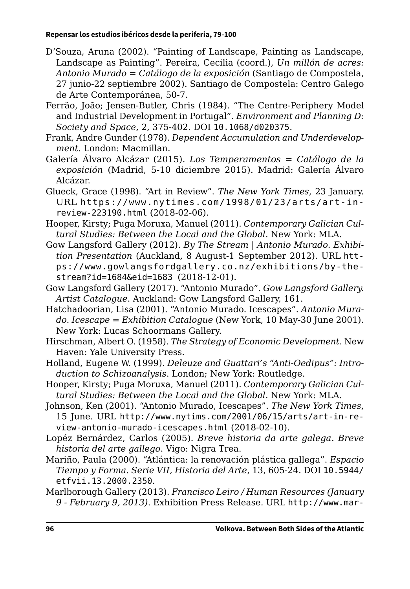- D'Souza, Aruna (2002). "Painting of Landscape, Painting as Landscape, Landscape as Painting". Pereira, Cecilia (coord.), *Un millón de acres: Antonio Murado = Catálogo de la exposición* (Santiago de Compostela, 27 junio-22 septiembre 2002). Santiago de Compostela: Centro Galego de Arte Contemporánea, 50-7.
- Ferrão, João; Jensen-Butler, Chris (1984). "The Centre-Periphery Model and Industrial Development in Portugal". *Environment and Planning D: Society and Space*, 2, 375-402. DOI [10.1068/d020375](https://doi.org/10.1068/d020375).
- Frank, Andre Gunder (1978). *Dependent Accumulation and Underdevelopment*. London: Macmillan.
- Galería Álvaro Alcázar (2015). *Los Temperamentos = Catálogo de la exposición* (Madrid, 5-10 diciembre 2015). Madrid: Galería Álvaro Alcázar.
- Glueck, Grace (1998). "Art in Review". *The New York Times*, 23 January. URL [https://www.nytimes.com/1998/01/23/arts/art-in](https://www.nytimes.com/1998/01/23/arts/art-in-review-223190.html)[review-223190.html](https://www.nytimes.com/1998/01/23/arts/art-in-review-223190.html) (2018-02-06).
- Hooper, Kirsty; Puga Moruxa, Manuel (2011). *Contemporary Galician Cultural Studies: Between the Local and the Global*. New York: MLA.
- Gow Langsford Gallery (2012). *By The Stream | Antonio Murado. Exhibition Presentation* (Auckland, 8 August-1 September 2012). URL [htt](https://www.gowlangsfordgallery.co.nz/exhibitions/by-the-stream?id=1684&eid=1683)[ps://www.gowlangsfordgallery.co.nz/exhibitions/by-the](https://www.gowlangsfordgallery.co.nz/exhibitions/by-the-stream?id=1684&eid=1683)[stream?id=1684&eid=1683](https://www.gowlangsfordgallery.co.nz/exhibitions/by-the-stream?id=1684&eid=1683) (2018-12-01).
- Gow Langsford Gallery (2017). "Antonio Murado". *Gow Langsford Gallery. Artist Catalogue*. Auckland: Gow Langsford Gallery, 161.
- Hatchadoorian, Lisa (2001). "Antonio Murado. Icescapes". *Antonio Murado. Icescape = Exhibition Catalogue* (New York, 10 May-30 June 2001). New York: Lucas Schoormans Gallery.
- Hirschman, Albert O. (1958). *The Strategy of Economic Development*. New Haven: Yale University Press.
- Holland, Eugene W. (1999). *Deleuze and Guattari's "Anti-Oedipus": Introduction to Schizoanalysis*. London; New York: Routledge.
- Hooper, Kirsty; Puga Moruxa, Manuel (2011). *Contemporary Galician Cultural Studies: Between the Local and the Global*. New York: MLA.
- Johnson, Ken (2001). "Antonio Murado, Icescapes". *The New York Times*, 15 June. URL [http://www.nytims.com/2001/06/15/arts/art-in-re](http://www.nytims.com/2001/06/15/arts/art-in-review-antonio-murado-icescapes.html)[view-antonio-murado-icescapes.html](http://www.nytims.com/2001/06/15/arts/art-in-review-antonio-murado-icescapes.html) (2018-02-10).
- Lopéz Bernárdez, Carlos (2005). *Breve historia da arte galega. Breve historia del arte gallego*. Vigo: Nigra Trea.
- Mariño, Paula (2000). "Atlántica: la renovación plástica gallega". *Espacio Tiempo y Forma. Serie VII, Historia del Arte*, 13, 605-24. DOI [10.5944/](https://doi.org/10.5944/etfvii.13.2000.2350) [etfvii.13.2000.2350](https://doi.org/10.5944/etfvii.13.2000.2350).
- Marlborough Gallery (2013). *Francisco Leiro / Human Resources (January 9 - February 9, 2013)*. Exhibition Press Release. URL [http://www.mar-](http://www.marlboroughgallery.com/press_releases/exhibitions/231/original/Leiro, 2013.pdf?1356027272)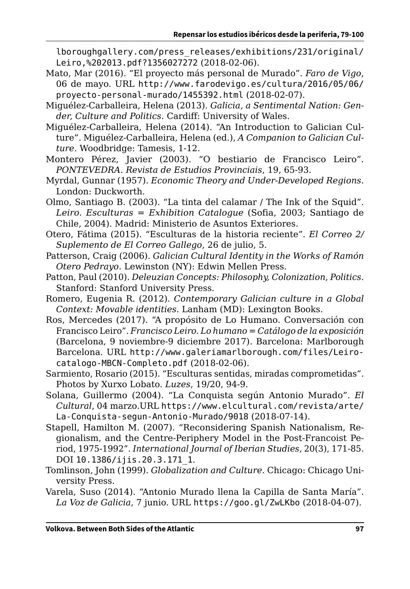[lboroughgallery.com/press\\_releases/exhibitions/231/original/](http://www.marlboroughgallery.com/press_releases/exhibitions/231/original/Leiro, 2013.pdf?1356027272) [Leiro,%202013.pdf?1356027272](http://www.marlboroughgallery.com/press_releases/exhibitions/231/original/Leiro, 2013.pdf?1356027272) (2018-02-06).

- Mato, Mar (2016). "El proyecto más personal de Murado". *Faro de Vigo*, 06 de mayo. URL [http://www.farodevigo.es/cultura/2016/05/06/](http://www.farodevigo.es/cultura/2016/05/06/proyecto-personal-murado/1455392.html) [proyecto-personal-murado/1455392.html](http://www.farodevigo.es/cultura/2016/05/06/proyecto-personal-murado/1455392.html) (2018-02-07).
- Miguélez-Carballeira, Helena (2013). *Galicia, a Sentimental Nation: Gender, Culture and Politics*. Cardiff: University of Wales.
- Miguélez-Carballeira, Helena (2014). "An Introduction to Galician Culture". Miguélez-Carballeira, Helena (ed.), *A Companion to Galician Culture*. Woodbridge: Tamesis, 1-12.
- Montero Pérez, Javier (2003). "O bestiario de Francisco Leiro". *PONTEVEDRA. Revista de Estudios Provinciais*, 19, 65-93.
- Myrdal, Gunnar (1957). *Economic Theory and Under-Developed Regions*. London: Duckworth.
- Olmo, Santiago B. (2003). "La tinta del calamar / The Ink of the Squid". *Leiro. Esculturas = Exhibition Catalogue* (Sofia, 2003; Santiago de Chile, 2004). Madrid: Ministerio de Asuntos Exteriores.
- Otero, Fátima (2015). "Esculturas de la historia reciente". *El Correo 2/ Suplemento de El Correo Gallego*, 26 de julio, 5.
- Patterson, Craig (2006). *Galician Cultural Identity in the Works of Ramón Otero Pedrayo*. Lewinston (NY): Edwin Mellen Press.
- Patton, Paul (2010). *Deleuzian Concepts: Philosophy, Colonization, Politics*. Stanford: Stanford University Press.
- Romero, Eugenia R. (2012). *Contemporary Galician culture in a Global Context: Movable identities*. Lanham (MD): Lexington Books.
- Ros, Mercedes (2017). "A propósito de Lo Humano. Conversación con Francisco Leiro". *Francisco Leiro. Lo humano = Catálogo de la exposición*  (Barcelona, 9 noviembre-9 diciembre 2017). Barcelona: Marlborough Barcelona. URL [http://www.galeriamarlborough.com/files/Leiro](http://www.galeriamarlborough.com/files/Leiro-catalogo-MBCN-Completo.pdf)[catalogo-MBCN-Completo.pdf](http://www.galeriamarlborough.com/files/Leiro-catalogo-MBCN-Completo.pdf) (2018-02-06).
- Sarmiento, Rosario (2015). "Esculturas sentidas, miradas comprometidas". Photos by Xurxo Lobato. *Luzes*, 19/20, 94-9.
- Solana, Guillermo (2004). "La Conquista según Antonio Murado". *El Cultural*, 04 marzo.URL [https://www.elcultural.com/revista/arte/](https://www.elcultural.com/revista/arte/La-Conquista-segun-Antonio-Murado/9018) [La-Conquista-segun-Antonio-Murado/9018](https://www.elcultural.com/revista/arte/La-Conquista-segun-Antonio-Murado/9018) (2018-07-14).
- Stapell, Hamilton M. (2007). "Reconsidering Spanish Nationalism, Regionalism, and the Centre-Periphery Model in the Post-Francoist Period, 1975-1992". *International Journal of Iberian Studies*, 20(3), 171-85. DOI [10.1386/ijis.20.3.171\\_1](https://doi.org/10.1386/ijis.20.3.171_1).
- Tomlinson, John (1999). *Globalization and Culture*. Chicago: Chicago University Press.
- Varela, Suso (2014). "Antonio Murado llena la Capilla de Santa María". *La Voz de Galicia*, 7 junio. URL <https://goo.gl/ZwLKbo> (2018-04-07).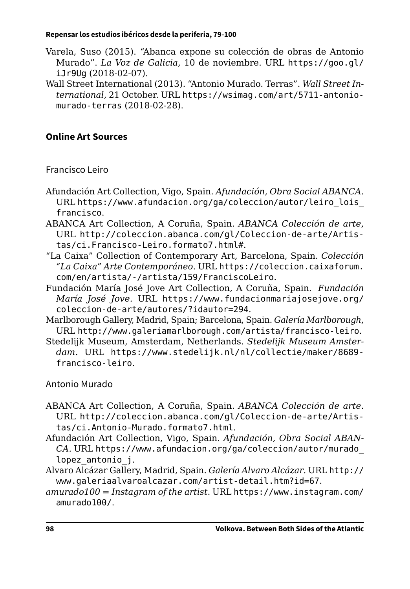- Varela, Suso (2015). "Abanca expone su colección de obras de Antonio Murado". *La Voz de Galicia*, 10 de noviembre. URL [https://goo.gl/](https://goo.gl/iJr9Ug) [iJr9Ug](https://goo.gl/iJr9Ug) (2018-02-07).
- Wall Street International (2013). "Antonio Murado. Terras". *Wall Street International*, 21 October. URL [https://wsimag.com/art/5711-antonio](https://wsimag.com/art/5711-antonio-murado-terras)[murado-terras](https://wsimag.com/art/5711-antonio-murado-terras) (2018-02-28).

#### **Online Art Sources**

Francisco Leiro

- Afundación Art Collection, Vigo, Spain. *Afundación, Obra Social ABANCA*. URL [https://www.afundacion.org/ga/coleccion/autor/leiro\\_lois\\_](https://www.afundacion.org/ga/coleccion/autor/leiro_lois_francisco) [francisco](https://www.afundacion.org/ga/coleccion/autor/leiro_lois_francisco).
- ABANCA Art Collection, A Coruña, Spain. *ABANCA Colección de arte*, URL [http://coleccion.abanca.com/gl/Coleccion-de-arte/Artis](http://coleccion.abanca.com/gl/Coleccion-de-arte/Artistas/ci.Francisco-Leiro.formato7.html)[tas/ci.Francisco-Leiro.formato7.html#](http://coleccion.abanca.com/gl/Coleccion-de-arte/Artistas/ci.Francisco-Leiro.formato7.html).
- "La Caixa" Collection of Contemporary Art, Barcelona, Spain. *Colección "La Caixa" Arte Contemporáneo*. URL [https://coleccion.caixaforum.](https://coleccion.caixaforum.com/en/artista/-/artista/159/FranciscoLeiro) [com/en/artista/-/artista/159/FranciscoLeiro](https://coleccion.caixaforum.com/en/artista/-/artista/159/FranciscoLeiro).
- Fundación María José Jove Art Collection, A Coruña, Spain. *Fundación María José Jove*. URL [https://www.fundacionmariajosejove.org/](https://www.fundacionmariajosejove.org/coleccion-de-arte/autores/?idautor=294) [coleccion-de-arte/autores/?idautor=294](https://www.fundacionmariajosejove.org/coleccion-de-arte/autores/?idautor=294).
- Marlborough Gallery, Madrid, Spain; Barcelona, Spain. *Galería Marlborough*, URL <http://www.galeriamarlborough.com/artista/francisco-leiro>.
- Stedelijk Museum, Amsterdam, Netherlands. *Stedelijk Museum Amsterdam*. URL [https://www.stedelijk.nl/nl/collectie/maker/8689](https://www.stedelijk.nl/nl/collectie/maker/8689-francisco-leiro) [francisco-leiro](https://www.stedelijk.nl/nl/collectie/maker/8689-francisco-leiro).

Antonio Murado

- ABANCA Art Collection, A Coruña, Spain. *ABANCA Colección de arte*. URL [http://coleccion.abanca.com/gl/Coleccion-de-arte/Artis](http://coleccion.abanca.com/gl/Coleccion-de-arte/Artistas/ci.Antonio-Murado.formato7.html)[tas/ci.Antonio-Murado.formato7.html](http://coleccion.abanca.com/gl/Coleccion-de-arte/Artistas/ci.Antonio-Murado.formato7.html).
- Afundación Art Collection, Vigo, Spain. *Afundación, Obra Social ABAN-CA*. URL [https://www.afundacion.org/ga/coleccion/autor/murado\\_](https://www.afundacion.org/ga/coleccion/autor/murado_lopez_antonio_j) lopez antonio j.
- Alvaro Alcázar Gallery, Madrid, Spain. *Galería Alvaro Alcázar*. URL [http://](http://www.galeriaalvaroalcazar.com/artist-detail.htm?id=67) [www.galeriaalvaroalcazar.com/artist-detail.htm?id=67](http://www.galeriaalvaroalcazar.com/artist-detail.htm?id=67).
- *amurado100 = Instagram of the artist*. URL [https://www.instagram.com/](https://www.instagram.com/amurado100/) [amurado100/](https://www.instagram.com/amurado100/).